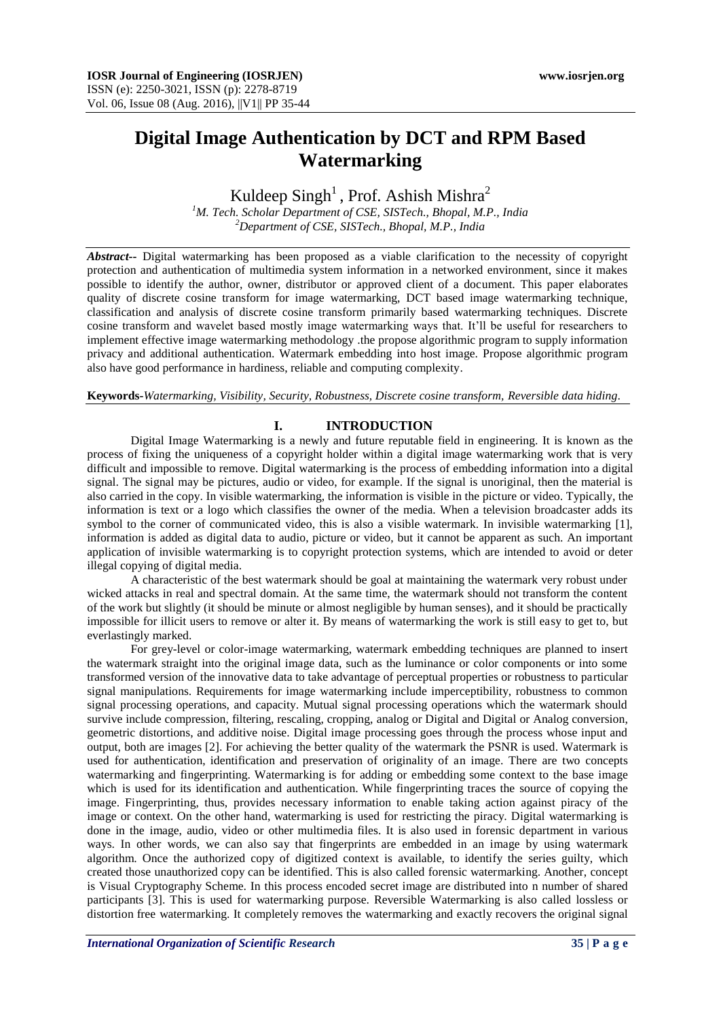# **Digital Image Authentication by DCT and RPM Based Watermarking**

# Kuldeep Singh<sup>1</sup>, Prof. Ashish Mishra<sup>2</sup>

*<sup>1</sup>M. Tech. Scholar Department of CSE, SISTech., Bhopal, M.P., India <sup>2</sup>Department of CSE, SISTech., Bhopal, M.P., India*

*Abstract***--** Digital watermarking has been proposed as a viable clarification to the necessity of copyright protection and authentication of multimedia system information in a networked environment, since it makes possible to identify the author, owner, distributor or approved client of a document. This paper elaborates quality of discrete cosine transform for image watermarking, DCT based image watermarking technique, classification and analysis of discrete cosine transform primarily based watermarking techniques. Discrete cosine transform and wavelet based mostly image watermarking ways that. It'll be useful for researchers to implement effective image watermarking methodology .the propose algorithmic program to supply information privacy and additional authentication. Watermark embedding into host image. Propose algorithmic program also have good performance in hardiness, reliable and computing complexity.

**Keywords-***Watermarking, Visibility, Security, Robustness, Discrete cosine transform, Reversible data hiding*.

## **I. INTRODUCTION**

Digital Image Watermarking is a newly and future reputable field in engineering. It is known as the process of fixing the uniqueness of a copyright holder within a digital image watermarking work that is very difficult and impossible to remove. Digital watermarking is the process of embedding information into a digital signal. The signal may be pictures, audio or video, for example. If the signal is unoriginal, then the material is also carried in the copy. In visible watermarking, the information is visible in the picture or video. Typically, the information is text or a logo which classifies the owner of the media. When a television broadcaster adds its symbol to the corner of communicated video, this is also a visible watermark. In invisible watermarking [1], information is added as digital data to audio, picture or video, but it cannot be apparent as such. An important application of invisible watermarking is to copyright protection systems, which are intended to avoid or deter illegal copying of digital media.

A characteristic of the best watermark should be goal at maintaining the watermark very robust under wicked attacks in real and spectral domain. At the same time, the watermark should not transform the content of the work but slightly (it should be minute or almost negligible by human senses), and it should be practically impossible for illicit users to remove or alter it. By means of watermarking the work is still easy to get to, but everlastingly marked.

For grey-level or color-image watermarking, watermark embedding techniques are planned to insert the watermark straight into the original image data, such as the luminance or color components or into some transformed version of the innovative data to take advantage of perceptual properties or robustness to particular signal manipulations. Requirements for image watermarking include imperceptibility, robustness to common signal processing operations, and capacity. Mutual signal processing operations which the watermark should survive include compression, filtering, rescaling, cropping, analog or Digital and Digital or Analog conversion, geometric distortions, and additive noise. Digital image processing goes through the process whose input and output, both are images [2]. For achieving the better quality of the watermark the PSNR is used. Watermark is used for authentication, identification and preservation of originality of an image. There are two concepts watermarking and fingerprinting. Watermarking is for adding or embedding some context to the base image which is used for its identification and authentication. While fingerprinting traces the source of copying the image. Fingerprinting, thus, provides necessary information to enable taking action against piracy of the image or context. On the other hand, watermarking is used for restricting the piracy. Digital watermarking is done in the image, audio, video or other multimedia files. It is also used in forensic department in various ways. In other words, we can also say that fingerprints are embedded in an image by using watermark algorithm. Once the authorized copy of digitized context is available, to identify the series guilty, which created those unauthorized copy can be identified. This is also called forensic watermarking. Another, concept is Visual Cryptography Scheme. In this process encoded secret image are distributed into n number of shared participants [3]. This is used for watermarking purpose. Reversible Watermarking is also called lossless or distortion free watermarking. It completely removes the watermarking and exactly recovers the original signal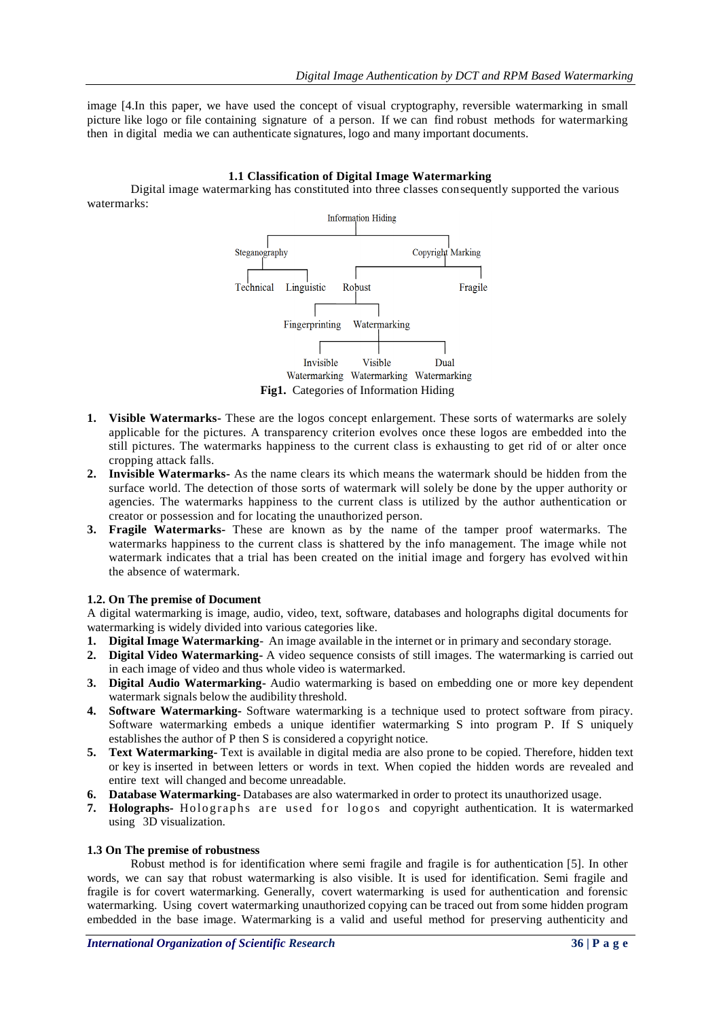image [4.In this paper, we have used the concept of visual cryptography, reversible watermarking in small picture like logo or file containing signature of a person. If we can find robust methods for watermarking then in digital media we can authenticate signatures, logo and many important documents.

## **1.1 Classification of Digital Image Watermarking**

Digital image watermarking has constituted into three classes consequently supported the various watermarks:



- **1. Visible Watermarks-** These are the logos concept enlargement. These sorts of watermarks are solely applicable for the pictures. A transparency criterion evolves once these logos are embedded into the still pictures. The watermarks happiness to the current class is exhausting to get rid of or alter once cropping attack falls.
- **2. Invisible Watermarks-** As the name clears its which means the watermark should be hidden from the surface world. The detection of those sorts of watermark will solely be done by the upper authority or agencies. The watermarks happiness to the current class is utilized by the author authentication or creator or possession and for locating the unauthorized person.
- **3. Fragile Watermarks-** These are known as by the name of the tamper proof watermarks. The watermarks happiness to the current class is shattered by the info management. The image while not watermark indicates that a trial has been created on the initial image and forgery has evolved within the absence of watermark.

# **1.2. On The premise of Document**

A digital watermarking is image, audio, video, text, software, databases and holographs digital documents for watermarking is widely divided into various categories like.

- **1. Digital Image Watermarking** An image available in the internet or in primary and secondary storage.
- **2. Digital Video Watermarking-** A video sequence consists of still images. The watermarking is carried out in each image of video and thus whole video is watermarked.
- **3. Digital Audio Watermarking-** Audio watermarking is based on embedding one or more key dependent watermark signals below the audibility threshold.
- **4. Software Watermarking-** Software watermarking is a technique used to protect software from piracy. Software watermarking embeds a unique identifier watermarking S into program P. If S uniquely establishes the author of P then S is considered a copyright notice.
- **5. Text Watermarking-** Text is available in digital media are also prone to be copied. Therefore, hidden text or key is inserted in between letters or words in text. When copied the hidden words are revealed and entire text will changed and become unreadable.
- **6. Database Watermarking-** Databases are also watermarked in order to protect its unauthorized usage.
- **7. Holographs-** Holographs are used for logos and copyright authentication. It is watermarked using 3D visualization.

## **1.3 On The premise of robustness**

Robust method is for identification where semi fragile and fragile is for authentication [5]. In other words, we can say that robust watermarking is also visible. It is used for identification. Semi fragile and fragile is for covert watermarking. Generally, covert watermarking is used for authentication and forensic watermarking. Using covert watermarking unauthorized copying can be traced out from some hidden program embedded in the base image. Watermarking is a valid and useful method for preserving authenticity and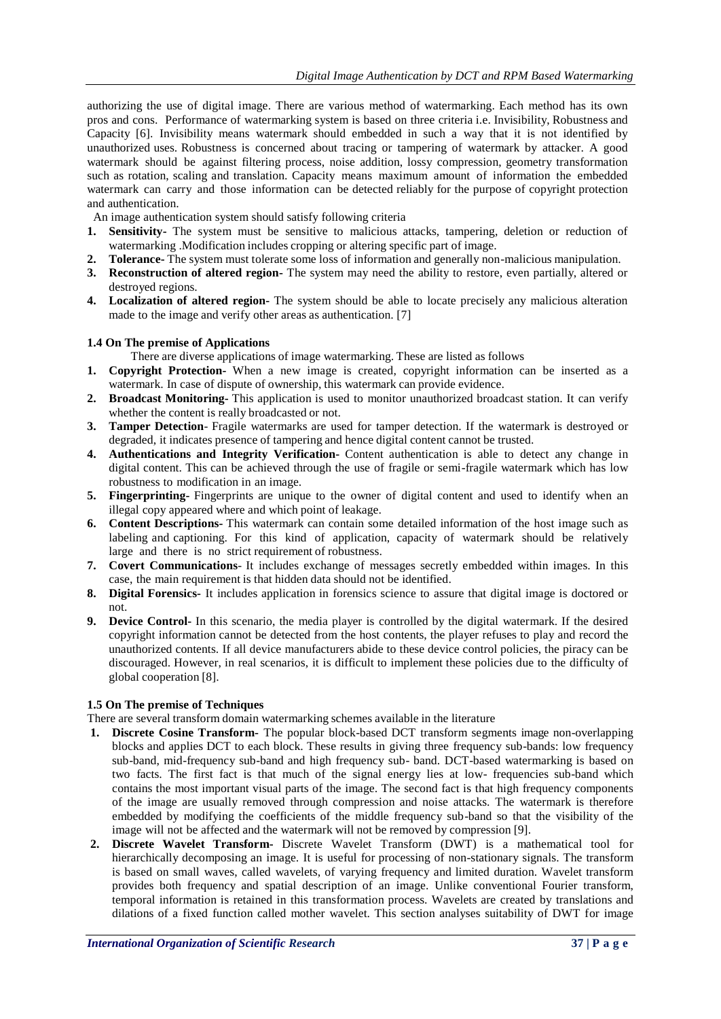authorizing the use of digital image. There are various method of watermarking. Each method has its own pros and cons. Performance of watermarking system is based on three criteria i.e. Invisibility, Robustness and Capacity [6]. Invisibility means watermark should embedded in such a way that it is not identified by unauthorized uses. Robustness is concerned about tracing or tampering of watermark by attacker. A good watermark should be against filtering process, noise addition, lossy compression, geometry transformation such as rotation, scaling and translation. Capacity means maximum amount of information the embedded watermark can carry and those information can be detected reliably for the purpose of copyright protection and authentication.

An image authentication system should satisfy following criteria

- **1. Sensitivity-** The system must be sensitive to malicious attacks, tampering, deletion or reduction of watermarking .Modification includes cropping or altering specific part of image.
- **2. Tolerance-** The system must tolerate some loss of information and generally non-malicious manipulation.
- **3. Reconstruction of altered region-** The system may need the ability to restore, even partially, altered or destroyed regions.
- **4. Localization of altered region-** The system should be able to locate precisely any malicious alteration made to the image and verify other areas as authentication. [7]

#### **1.4 On The premise of Applications**

There are diverse applications of image watermarking. These are listed as follows

- **1. Copyright Protection-** When a new image is created, copyright information can be inserted as a watermark. In case of dispute of ownership, this watermark can provide evidence.
- **2. Broadcast Monitoring-** This application is used to monitor unauthorized broadcast station. It can verify whether the content is really broadcasted or not.
- **3. Tamper Detection** Fragile watermarks are used for tamper detection. If the watermark is destroyed or degraded, it indicates presence of tampering and hence digital content cannot be trusted.
- **4. Authentications and Integrity Verification-** Content authentication is able to detect any change in digital content. This can be achieved through the use of fragile or semi-fragile watermark which has low robustness to modification in an image.
- **5. Fingerprinting-** Fingerprints are unique to the owner of digital content and used to identify when an illegal copy appeared where and which point of leakage.
- **6. Content Descriptions-** This watermark can contain some detailed information of the host image such as labeling and captioning. For this kind of application, capacity of watermark should be relatively large and there is no strict requirement of robustness.
- **7. Covert Communications** It includes exchange of messages secretly embedded within images. In this case, the main requirement is that hidden data should not be identified.
- **8. Digital Forensics-** It includes application in forensics science to assure that digital image is doctored or not.
- **9. Device Control-** In this scenario, the media player is controlled by the digital watermark. If the desired copyright information cannot be detected from the host contents, the player refuses to play and record the unauthorized contents. If all device manufacturers abide to these device control policies, the piracy can be discouraged. However, in real scenarios, it is difficult to implement these policies due to the difficulty of global cooperation [8].

## **1.5 On The premise of Techniques**

There are several transform domain watermarking schemes available in the literature

- **1. Discrete Cosine Transform-** The popular block-based DCT transform segments image non-overlapping blocks and applies DCT to each block. These results in giving three frequency sub-bands: low frequency sub-band, mid-frequency sub-band and high frequency sub- band. DCT-based watermarking is based on two facts. The first fact is that much of the signal energy lies at low- frequencies sub-band which contains the most important visual parts of the image. The second fact is that high frequency components of the image are usually removed through compression and noise attacks. The watermark is therefore embedded by modifying the coefficients of the middle frequency sub-band so that the visibility of the image will not be affected and the watermark will not be removed by compression [9].
- **2. Discrete Wavelet Transform-** Discrete Wavelet Transform (DWT) is a mathematical tool for hierarchically decomposing an image. It is useful for processing of non-stationary signals. The transform is based on small waves, called wavelets, of varying frequency and limited duration. Wavelet transform provides both frequency and spatial description of an image. Unlike conventional Fourier transform, temporal information is retained in this transformation process. Wavelets are created by translations and dilations of a fixed function called mother wavelet. This section analyses suitability of DWT for image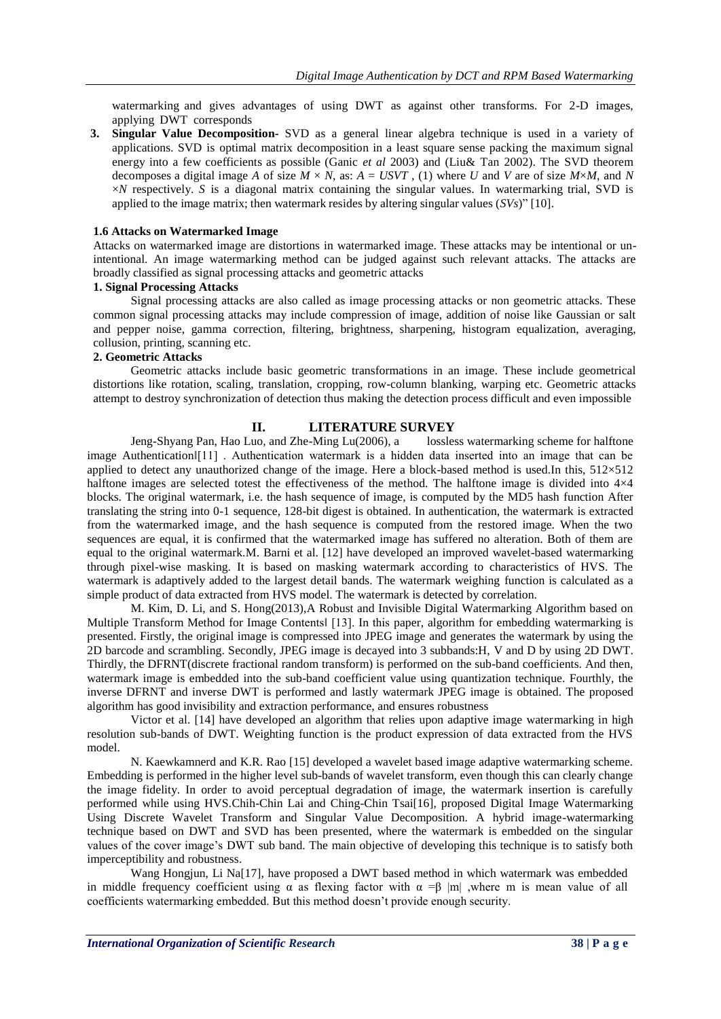watermarking and gives advantages of using DWT as against other transforms. For 2-D images, applying DWT corresponds

**3. Singular Value Decomposition-** SVD as a general linear algebra technique is used in a variety of applications. SVD is optimal matrix decomposition in a least square sense packing the maximum signal energy into a few coefficients as possible (Ganic *et al* 2003) and (Liu& Tan 2002). The SVD theorem decomposes a digital image *A* of size  $M \times N$ , as:  $A = USVT$ , (1) where *U* and *V* are of size  $M \times M$ , and *N* ×*N* respectively. *S* is a diagonal matrix containing the singular values. In watermarking trial, SVD is applied to the image matrix; then watermark resides by altering singular values (*SVs*)" [10].

#### **1.6 Attacks on Watermarked Image**

Attacks on watermarked image are distortions in watermarked image. These attacks may be intentional or unintentional. An image watermarking method can be judged against such relevant attacks. The attacks are broadly classified as signal processing attacks and geometric attacks

## **1. Signal Processing Attacks**

Signal processing attacks are also called as image processing attacks or non geometric attacks. These common signal processing attacks may include compression of image, addition of noise like Gaussian or salt and pepper noise, gamma correction, filtering, brightness, sharpening, histogram equalization, averaging, collusion, printing, scanning etc.

#### **2. Geometric Attacks**

Geometric attacks include basic geometric transformations in an image. These include geometrical distortions like rotation, scaling, translation, cropping, row-column blanking, warping etc. Geometric attacks attempt to destroy synchronization of detection thus making the detection process difficult and even impossible

## **II. LITERATURE SURVEY**

Jeng-Shyang Pan, Hao Luo, and Zhe-Ming Lu(2006), a lossless watermarking scheme for halftone image Authentication‖[11] . Authentication watermark is a hidden data inserted into an image that can be applied to detect any unauthorized change of the image. Here a block-based method is used.In this, 512×512 halftone images are selected totest the effectiveness of the method. The halftone image is divided into  $4\times4$ blocks. The original watermark, i.e. the hash sequence of image, is computed by the MD5 hash function After translating the string into 0-1 sequence, 128-bit digest is obtained. In authentication, the watermark is extracted from the watermarked image, and the hash sequence is computed from the restored image. When the two sequences are equal, it is confirmed that the watermarked image has suffered no alteration. Both of them are equal to the original watermark.M. Barni et al. [12] have developed an improved wavelet-based watermarking through pixel-wise masking. It is based on masking watermark according to characteristics of HVS. The watermark is adaptively added to the largest detail bands. The watermark weighing function is calculated as a simple product of data extracted from HVS model. The watermark is detected by correlation.

M. Kim, D. Li, and S. Hong(2013),A Robust and Invisible Digital Watermarking Algorithm based on Multiple Transform Method for Image Contents [13]. In this paper, algorithm for embedding watermarking is presented. Firstly, the original image is compressed into JPEG image and generates the watermark by using the 2D barcode and scrambling. Secondly, JPEG image is decayed into 3 subbands:H, V and D by using 2D DWT. Thirdly, the DFRNT(discrete fractional random transform) is performed on the sub-band coefficients. And then, watermark image is embedded into the sub-band coefficient value using quantization technique. Fourthly, the inverse DFRNT and inverse DWT is performed and lastly watermark JPEG image is obtained. The proposed algorithm has good invisibility and extraction performance, and ensures robustness

Victor et al. [14] have developed an algorithm that relies upon adaptive image watermarking in high resolution sub-bands of DWT. Weighting function is the product expression of data extracted from the HVS model.

N. Kaewkamnerd and K.R. Rao [15] developed a wavelet based image adaptive watermarking scheme. Embedding is performed in the higher level sub-bands of wavelet transform, even though this can clearly change the image fidelity. In order to avoid perceptual degradation of image, the watermark insertion is carefully performed while using HVS.Chih-Chin Lai and Ching-Chin Tsai[16], proposed Digital Image Watermarking Using Discrete Wavelet Transform and Singular Value Decomposition. A hybrid image-watermarking technique based on DWT and SVD has been presented, where the watermark is embedded on the singular values of the cover image's DWT sub band. The main objective of developing this technique is to satisfy both imperceptibility and robustness.

Wang Hongjun, Li Na[17], have proposed a DWT based method in which watermark was embedded in middle frequency coefficient using  $\alpha$  as flexing factor with  $\alpha = \beta$  |m| ,where m is mean value of all coefficients watermarking embedded. But this method doesn't provide enough security.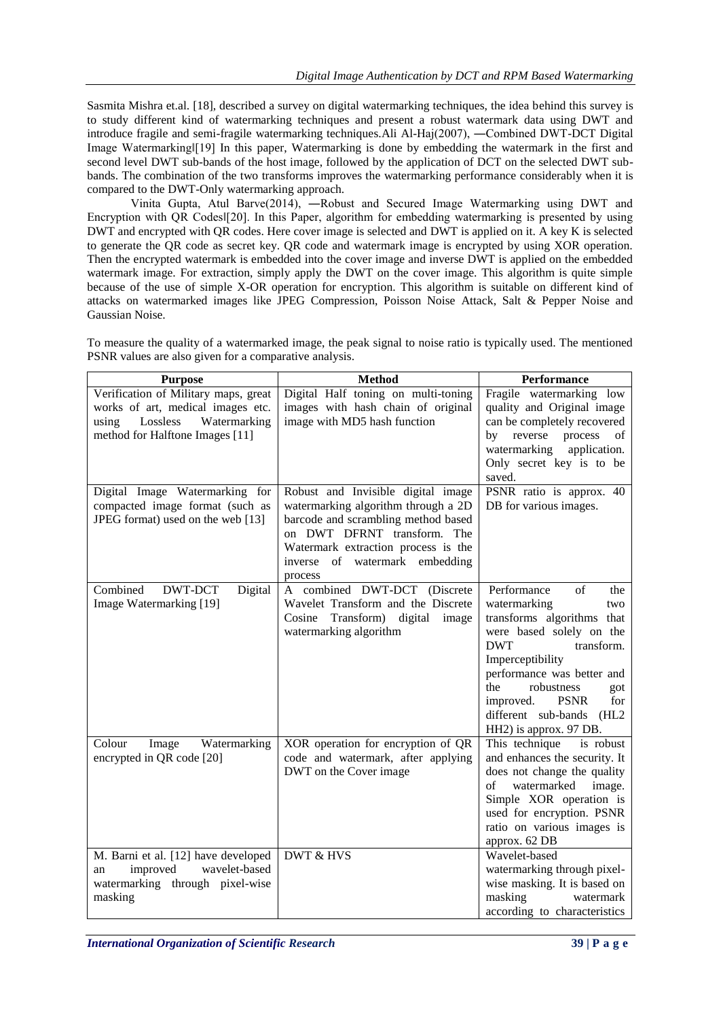Sasmita Mishra et.al. [18], described a survey on digital watermarking techniques, the idea behind this survey is to study different kind of watermarking techniques and present a robust watermark data using DWT and introduce fragile and semi-fragile watermarking techniques.Ali Al-Haj(2007), ―Combined DWT-DCT Digital Image Watermarking [19] In this paper, Watermarking is done by embedding the watermark in the first and second level DWT sub-bands of the host image, followed by the application of DCT on the selected DWT subbands. The combination of the two transforms improves the watermarking performance considerably when it is compared to the DWT-Only watermarking approach.

Vinita Gupta, Atul Barve(2014), ―Robust and Secured Image Watermarking using DWT and Encryption with QR Codes [[20]. In this Paper, algorithm for embedding watermarking is presented by using DWT and encrypted with QR codes. Here cover image is selected and DWT is applied on it. A key K is selected to generate the QR code as secret key. QR code and watermark image is encrypted by using XOR operation. Then the encrypted watermark is embedded into the cover image and inverse DWT is applied on the embedded watermark image. For extraction, simply apply the DWT on the cover image. This algorithm is quite simple because of the use of simple X-OR operation for encryption. This algorithm is suitable on different kind of attacks on watermarked images like JPEG Compression, Poisson Noise Attack, Salt & Pepper Noise and Gaussian Noise.

| <b>Purpose</b>                                                         | <b>Method</b>                           | Performance                                 |  |
|------------------------------------------------------------------------|-----------------------------------------|---------------------------------------------|--|
| Verification of Military maps, great                                   | Digital Half toning on multi-toning     | Fragile watermarking low                    |  |
| works of art, medical images etc.                                      | images with hash chain of original      | quality and Original image                  |  |
| Lossless<br>using<br>Watermarking                                      | image with MD5 hash function            | can be completely recovered                 |  |
| method for Halftone Images [11]                                        |                                         | reverse<br>by<br>process<br>of              |  |
|                                                                        |                                         | watermarking<br>application.                |  |
|                                                                        |                                         | Only secret key is to be<br>saved.          |  |
| Digital Image Watermarking for                                         | Robust and Invisible digital image      | PSNR ratio is approx. 40                    |  |
| compacted image format (such as                                        | watermarking algorithm through a 2D     | DB for various images.                      |  |
| JPEG format) used on the web [13]                                      | barcode and scrambling method based     |                                             |  |
|                                                                        | on DWT DFRNT transform. The             |                                             |  |
|                                                                        | Watermark extraction process is the     |                                             |  |
|                                                                        | inverse of watermark embedding          |                                             |  |
| Combined<br>DWT-DCT                                                    | process<br>A combined DWT-DCT (Discrete | Performance<br>of<br>the                    |  |
| Digital<br>Image Watermarking [19]                                     | Wavelet Transform and the Discrete      | watermarking<br>two                         |  |
|                                                                        | Cosine Transform) digital image         | transforms algorithms that                  |  |
|                                                                        | watermarking algorithm                  | were based solely on the                    |  |
|                                                                        |                                         | <b>DWT</b><br>transform.                    |  |
|                                                                        |                                         | Imperceptibility                            |  |
|                                                                        |                                         | performance was better and                  |  |
|                                                                        |                                         | robustness<br>the<br>got                    |  |
|                                                                        |                                         | <b>PSNR</b><br>for<br>improved.             |  |
|                                                                        |                                         | different sub-bands<br>(HL2)                |  |
|                                                                        |                                         | HH2) is approx. 97 DB.                      |  |
| Colour<br>Watermarking<br>Image                                        | XOR operation for encryption of QR      | This technique<br>is robust                 |  |
| encrypted in QR code [20]                                              | code and watermark, after applying      | and enhances the security. It               |  |
|                                                                        | DWT on the Cover image                  | does not change the quality                 |  |
|                                                                        |                                         | watermarked<br>image.<br>of                 |  |
|                                                                        |                                         | Simple XOR operation is                     |  |
|                                                                        |                                         | used for encryption. PSNR                   |  |
|                                                                        |                                         | ratio on various images is<br>approx. 62 DB |  |
|                                                                        | DWT & HVS                               | Wavelet-based                               |  |
| M. Barni et al. [12] have developed<br>improved<br>wavelet-based<br>an |                                         | watermarking through pixel-                 |  |
| watermarking through pixel-wise                                        |                                         | wise masking. It is based on                |  |
| masking                                                                |                                         | masking<br>watermark                        |  |
|                                                                        |                                         | according to characteristics                |  |

To measure the quality of a watermarked image, the peak signal to noise ratio is typically used. The mentioned PSNR values are also given for a comparative analysis.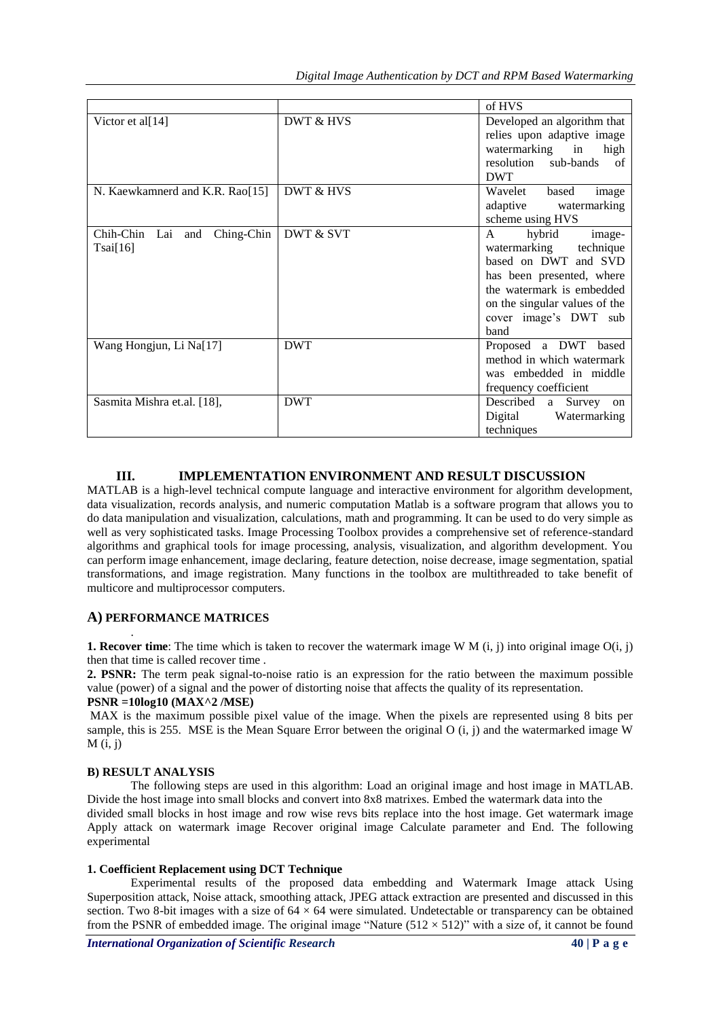|                                                |            | of HVS                                                                                                                                                                                                         |
|------------------------------------------------|------------|----------------------------------------------------------------------------------------------------------------------------------------------------------------------------------------------------------------|
| Victor et al[14]                               | DWT & HVS  | Developed an algorithm that<br>relies upon adaptive image<br>watermarking in<br>high<br>resolution sub-bands<br>of<br><b>DWT</b>                                                                               |
| N. Kaewkamnerd and K.R. Rao[15]                | DWT & HVS  | Wavelet<br>based<br>image<br>adaptive<br>watermarking<br>scheme using HVS                                                                                                                                      |
| Chih-Chin Lai<br>Ching-Chin<br>and<br>Tsai[16] | DWT & SVT  | hybrid<br>$\mathsf{A}$<br>image-<br>watermarking technique<br>based on DWT and SVD<br>has been presented, where<br>the watermark is embedded<br>on the singular values of the<br>cover image's DWT sub<br>hand |
| Wang Hongjun, Li Na[17]                        | <b>DWT</b> | Proposed a DWT based<br>method in which watermark<br>was embedded in middle<br>frequency coefficient                                                                                                           |
| Sasmita Mishra et.al. [18],                    | <b>DWT</b> | Described<br>Survey on<br>a<br>Digital<br>Watermarking<br>techniques                                                                                                                                           |

## **III. IMPLEMENTATION ENVIRONMENT AND RESULT DISCUSSION**

MATLAB is a high-level technical compute language and interactive environment for algorithm development, data visualization, records analysis, and numeric computation Matlab is a software program that allows you to do data manipulation and visualization, calculations, math and programming. It can be used to do very simple as well as very sophisticated tasks. Image Processing Toolbox provides a comprehensive set of reference-standard algorithms and graphical tools for image processing, analysis, visualization, and algorithm development. You can perform image enhancement, image declaring, feature detection, noise decrease, image segmentation, spatial transformations, and image registration. Many functions in the toolbox are multithreaded to take benefit of multicore and multiprocessor computers.

# **A) PERFORMANCE MATRICES**

**1. Recover time**: The time which is taken to recover the watermark image W  $M(i, j)$  into original image  $O(i, j)$ then that time is called recover time .

**2. PSNR:** The term peak signal-to-noise ratio is an expression for the ratio between the maximum possible value (power) of a signal and the power of distorting noise that affects the quality of its representation.

## **PSNR =10log10 (MAX^2 /MSE)**

MAX is the maximum possible pixel value of the image. When the pixels are represented using 8 bits per sample, this is 255. MSE is the Mean Square Error between the original  $O(i, j)$  and the watermarked image W  $M(i, i)$ 

## **B) RESULT ANALYSIS**

.

The following steps are used in this algorithm: Load an original image and host image in MATLAB. Divide the host image into small blocks and convert into 8x8 matrixes. Embed the watermark data into the divided small blocks in host image and row wise revs bits replace into the host image. Get watermark image Apply attack on watermark image Recover original image Calculate parameter and End. The following experimental

## **1. Coefficient Replacement using DCT Technique**

Experimental results of the proposed data embedding and Watermark Image attack Using Superposition attack, Noise attack, smoothing attack, JPEG attack extraction are presented and discussed in this section. Two 8-bit images with a size of  $64 \times 64$  were simulated. Undetectable or transparency can be obtained from the PSNR of embedded image. The original image "Nature  $(512 \times 512)$ " with a size of, it cannot be found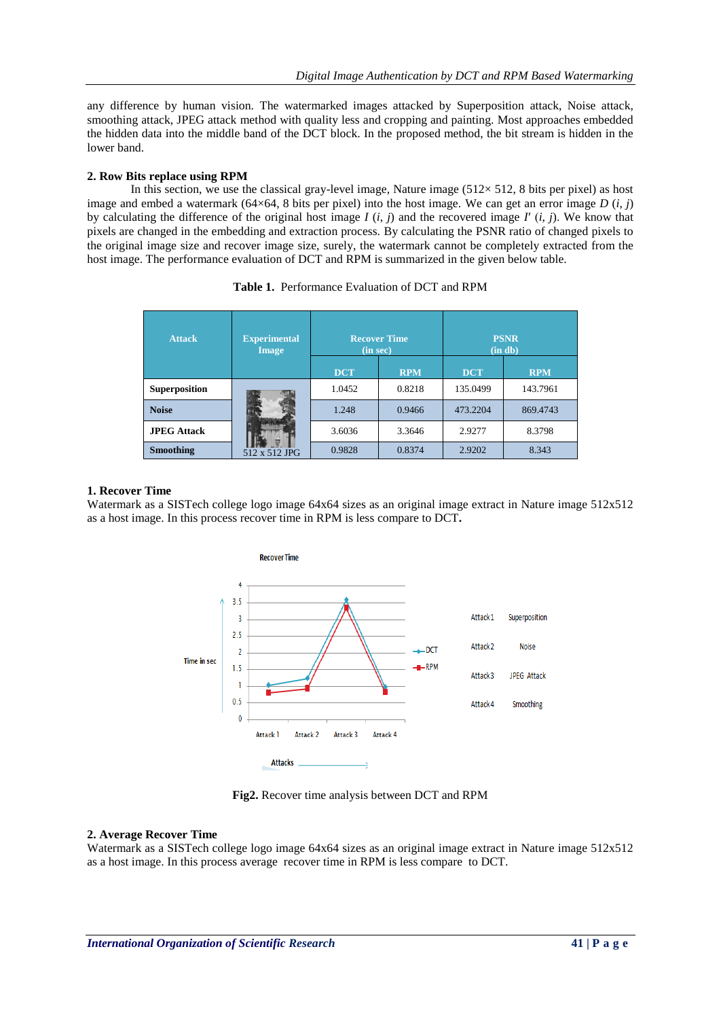any difference by human vision. The watermarked images attacked by Superposition attack, Noise attack, smoothing attack, JPEG attack method with quality less and cropping and painting. Most approaches embedded the hidden data into the middle band of the DCT block. In the proposed method, the bit stream is hidden in the lower band.

## **2. Row Bits replace using RPM**

In this section, we use the classical gray-level image, Nature image  $(512 \times 512, 8$  bits per pixel) as host image and embed a watermark (64×64, 8 bits per pixel) into the host image. We can get an error image  $D(i, j)$ by calculating the difference of the original host image  $I(i, j)$  and the recovered image  $I'(i, j)$ . We know that pixels are changed in the embedding and extraction process. By calculating the PSNR ratio of changed pixels to the original image size and recover image size, surely, the watermark cannot be completely extracted from the host image. The performance evaluation of DCT and RPM is summarized in the given below table.

| <b>Attack</b>        | <b>Experimental</b><br><b>Image</b> | <b>Recover Time</b><br>(in sec) |            | <b>PSNR</b><br>(in db) |            |
|----------------------|-------------------------------------|---------------------------------|------------|------------------------|------------|
|                      |                                     | <b>DCT</b>                      | <b>RPM</b> | <b>DCT</b>             | <b>RPM</b> |
| <b>Superposition</b> | 512 x 512 JPG                       | 1.0452                          | 0.8218     | 135.0499               | 143.7961   |
| <b>Noise</b>         |                                     | 1.248                           | 0.9466     | 473.2204               | 869.4743   |
| <b>JPEG Attack</b>   |                                     | 3.6036                          | 3.3646     | 2.9277                 | 8.3798     |
| <b>Smoothing</b>     |                                     | 0.9828                          | 0.8374     | 2.9202                 | 8.343      |

| <b>Table 1.</b> Performance Evaluation of DCT and RPM |  |
|-------------------------------------------------------|--|
|-------------------------------------------------------|--|

## **1. Recover Time**

Watermark as a SISTech college logo image 64x64 sizes as an original image extract in Nature image 512x512 as a host image. In this process recover time in RPM is less compare to DCT**.**



**Fig2.** Recover time analysis between DCT and RPM

## **2. Average Recover Time**

Watermark as a SISTech college logo image 64x64 sizes as an original image extract in Nature image 512x512 as a host image. In this process average recover time in RPM is less compare to DCT.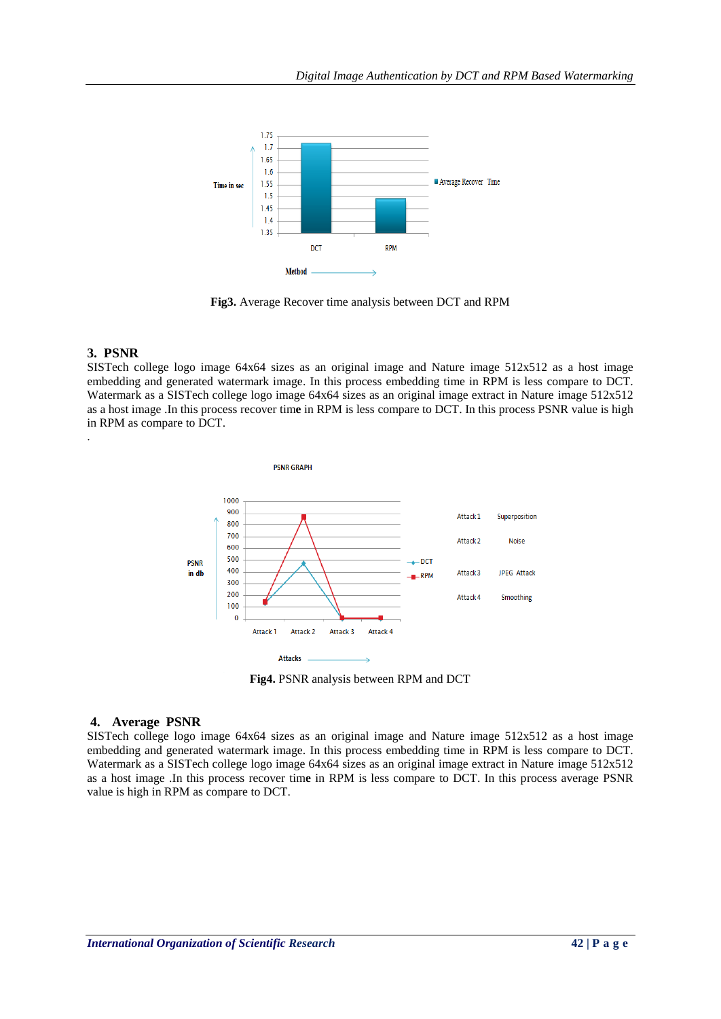

**Fig3.** Average Recover time analysis between DCT and RPM

# **3. PSNR**

.

SISTech college logo image 64x64 sizes as an original image and Nature image 512x512 as a host image embedding and generated watermark image. In this process embedding time in RPM is less compare to DCT. Watermark as a SISTech college logo image 64x64 sizes as an original image extract in Nature image 512x512 as a host image .In this process recover tim**e** in RPM is less compare to DCT. In this process PSNR value is high in RPM as compare to DCT.



# **4. Average PSNR**

SISTech college logo image 64x64 sizes as an original image and Nature image 512x512 as a host image embedding and generated watermark image. In this process embedding time in RPM is less compare to DCT. Watermark as a SISTech college logo image 64x64 sizes as an original image extract in Nature image 512x512 as a host image .In this process recover tim**e** in RPM is less compare to DCT. In this process average PSNR value is high in RPM as compare to DCT.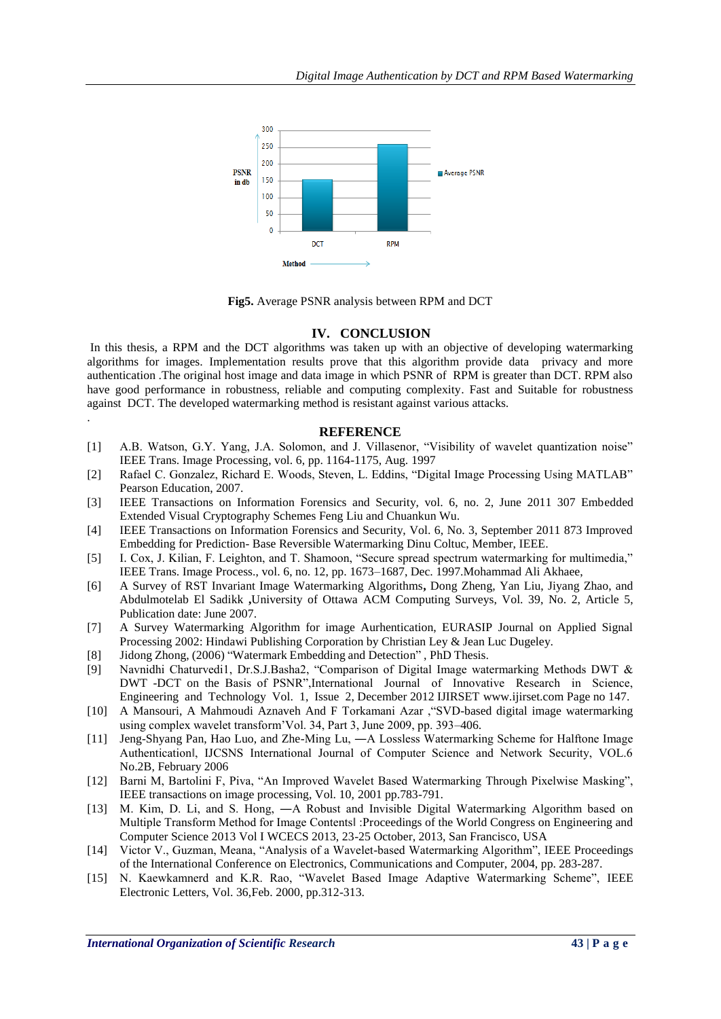

**Fig5.** Average PSNR analysis between RPM and DCT

#### **IV. CONCLUSION**

In this thesis, a RPM and the DCT algorithms was taken up with an objective of developing watermarking algorithms for images. Implementation results prove that this algorithm provide data privacy and more authentication .The original host image and data image in which PSNR of RPM is greater than DCT. RPM also have good performance in robustness, reliable and computing complexity. Fast and Suitable for robustness against DCT. The developed watermarking method is resistant against various attacks.

#### **REFERENCE**

- [1] A.B. Watson, G.Y. Yang, J.A. Solomon, and J. Villasenor, "Visibility of wavelet quantization noise" IEEE Trans. Image Processing, vol. 6, pp. 1164-1175, Aug. 1997
- [2] Rafael C. Gonzalez, Richard E. Woods, Steven, L. Eddins, "Digital Image Processing Using MATLAB" Pearson Education, 2007.
- [3] IEEE Transactions on Information Forensics and Security, vol. 6, no. 2, June 2011 307 Embedded Extended Visual Cryptography Schemes Feng Liu and Chuankun Wu.
- [4] IEEE Transactions on Information Forensics and Security, Vol. 6, No. 3, September 2011 873 Improved Embedding for Prediction- Base Reversible Watermarking Dinu Coltuc, Member, IEEE.
- [5] I. Cox, J. Kilian, F. Leighton, and T. Shamoon, "Secure spread spectrum watermarking for multimedia," IEEE Trans. Image Process., vol. 6, no. 12, pp. 1673–1687, Dec. 1997.Mohammad Ali Akhaee,
- [6] A Survey of RST Invariant Image Watermarking Algorithms**,** Dong Zheng, Yan Liu, Jiyang Zhao, and Abdulmotelab El Sadikk **,**University of Ottawa ACM Computing Surveys, Vol. 39, No. 2, Article 5, Publication date: June 2007.
- [7] A Survey Watermarking Algorithm for image Aurhentication, EURASIP Journal on Applied Signal Processing 2002: Hindawi Publishing Corporation by Christian Ley & Jean Luc Dugeley.
- [8] Jidong Zhong, (2006) "Watermark Embedding and Detection" , PhD Thesis.
- [9] Navnidhi Chaturvedi1, Dr.S.J.Basha2, "Comparison of Digital Image watermarking Methods DWT & DWT -DCT on the Basis of PSNR",International Journal of Innovative Research in Science, Engineering and Technology Vol. 1, Issue 2, December 2012 IJIRSET [www.ijirset.com](http://www.ijirset.com/) Page no 147.
- [10] A Mansouri, A Mahmoudi Aznaveh And F Torkamani Azar ,"SVD-based digital image watermarking using complex wavelet transform'Vol. 34, Part 3, June 2009, pp. 393–406.
- [11] Jeng-Shyang Pan, Hao Luo, and Zhe-Ming Lu, ―A Lossless Watermarking Scheme for Halftone Image Authenticationl, IJCSNS International Journal of Computer Science and Network Security, VOL.6 No.2B, February 2006
- [12] Barni M, Bartolini F, Piva, "An Improved Wavelet Based Watermarking Through Pixelwise Masking", IEEE transactions on image processing, Vol. 10, 2001 pp.783-791.
- [13] M. Kim, D. Li, and S. Hong, ―A Robust and Invisible Digital Watermarking Algorithm based on Multiple Transform Method for Image Contents‖ :Proceedings of the World Congress on Engineering and Computer Science 2013 Vol I WCECS 2013, 23-25 October, 2013, San Francisco, USA
- [14] Victor V., Guzman, Meana, "Analysis of a Wavelet-based Watermarking Algorithm", IEEE Proceedings of the International Conference on Electronics, Communications and Computer, 2004, pp. 283-287.
- [15] N. Kaewkamnerd and K.R. Rao, "Wavelet Based Image Adaptive Watermarking Scheme", IEEE Electronic Letters, Vol. 36,Feb. 2000, pp.312-313.

.